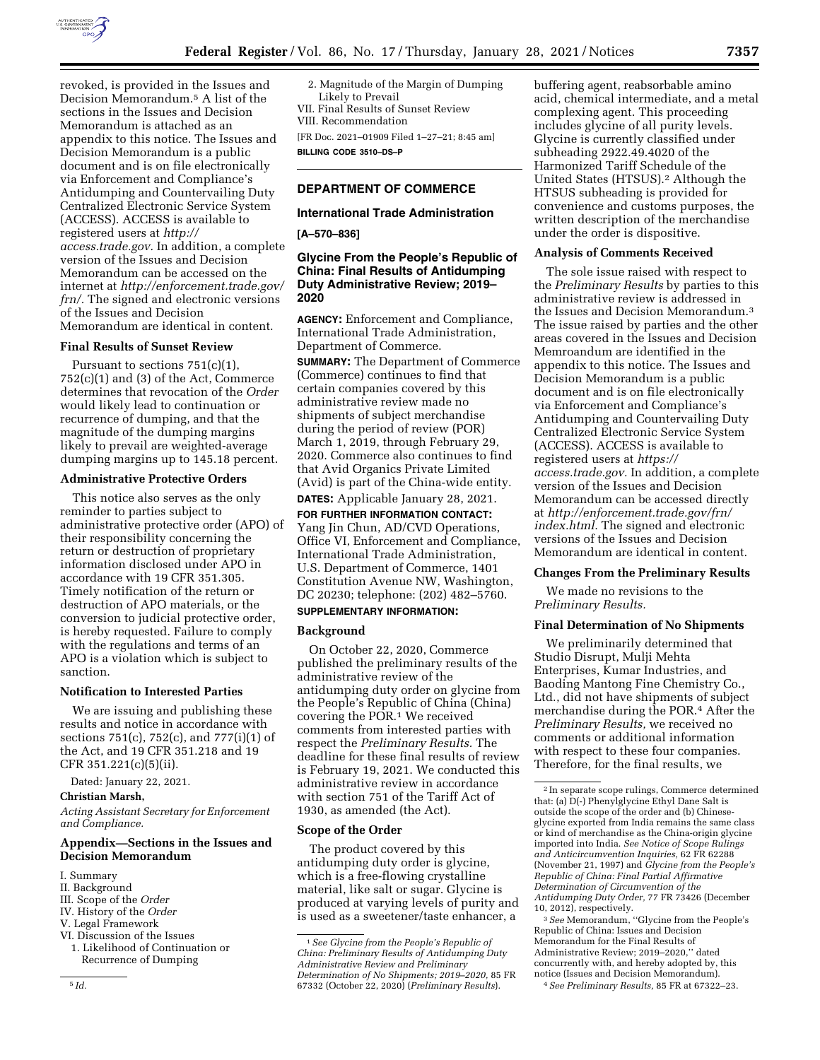

revoked, is provided in the Issues and Decision Memorandum.5 A list of the sections in the Issues and Decision Memorandum is attached as an appendix to this notice. The Issues and Decision Memorandum is a public document and is on file electronically via Enforcement and Compliance's Antidumping and Countervailing Duty Centralized Electronic Service System (ACCESS). ACCESS is available to registered users at *[http://](http://access.trade.gov) [access.trade.gov.](http://access.trade.gov)* In addition, a complete version of the Issues and Decision Memorandum can be accessed on the internet at *[http://enforcement.trade.gov/](http://enforcement.trade.gov/frn/) [frn/.](http://enforcement.trade.gov/frn/)* The signed and electronic versions of the Issues and Decision Memorandum are identical in content.

# **Final Results of Sunset Review**

Pursuant to sections  $751(c)(1)$ , 752(c)(1) and (3) of the Act, Commerce determines that revocation of the *Order*  would likely lead to continuation or recurrence of dumping, and that the magnitude of the dumping margins likely to prevail are weighted-average dumping margins up to 145.18 percent.

#### **Administrative Protective Orders**

This notice also serves as the only reminder to parties subject to administrative protective order (APO) of their responsibility concerning the return or destruction of proprietary information disclosed under APO in accordance with 19 CFR 351.305. Timely notification of the return or destruction of APO materials, or the conversion to judicial protective order, is hereby requested. Failure to comply with the regulations and terms of an APO is a violation which is subject to sanction.

#### **Notification to Interested Parties**

We are issuing and publishing these results and notice in accordance with sections 751(c), 752(c), and 777(i)(1) of the Act, and 19 CFR 351.218 and 19 CFR 351.221(c)(5)(ii).

Dated: January 22, 2021.

### **Christian Marsh,**

*Acting Assistant Secretary for Enforcement and Compliance.* 

#### **Appendix—Sections in the Issues and Decision Memorandum**

- I. Summary
- II. Background
- III. Scope of the *Order*
- IV. History of the *Order*
- V. Legal Framework VI. Discussion of the Issues
- 1. Likelihood of Continuation or
	- Recurrence of Dumping

2. Magnitude of the Margin of Dumping Likely to Prevail VII. Final Results of Sunset Review

VIII. Recommendation

[FR Doc. 2021–01909 Filed 1–27–21; 8:45 am] **BILLING CODE 3510–DS–P** 

# **DEPARTMENT OF COMMERCE**

# **International Trade Administration**

**[A–570–836]** 

# **Glycine From the People's Republic of China: Final Results of Antidumping Duty Administrative Review; 2019– 2020**

**AGENCY:** Enforcement and Compliance, International Trade Administration, Department of Commerce.

**SUMMARY:** The Department of Commerce (Commerce) continues to find that certain companies covered by this administrative review made no shipments of subject merchandise during the period of review (POR) March 1, 2019, through February 29, 2020. Commerce also continues to find that Avid Organics Private Limited (Avid) is part of the China-wide entity.

**DATES:** Applicable January 28, 2021.

**FOR FURTHER INFORMATION CONTACT:**  Yang Jin Chun, AD/CVD Operations, Office VI, Enforcement and Compliance, International Trade Administration, U.S. Department of Commerce, 1401 Constitution Avenue NW, Washington, DC 20230; telephone: (202) 482–5760.

# **SUPPLEMENTARY INFORMATION:**

#### **Background**

On October 22, 2020, Commerce published the preliminary results of the administrative review of the antidumping duty order on glycine from the People's Republic of China (China) covering the POR.1 We received comments from interested parties with respect the *Preliminary Results.* The deadline for these final results of review is February 19, 2021. We conducted this administrative review in accordance with section 751 of the Tariff Act of 1930, as amended (the Act).

#### **Scope of the Order**

The product covered by this antidumping duty order is glycine, which is a free-flowing crystalline material, like salt or sugar. Glycine is produced at varying levels of purity and is used as a sweetener/taste enhancer, a

buffering agent, reabsorbable amino acid, chemical intermediate, and a metal complexing agent. This proceeding includes glycine of all purity levels. Glycine is currently classified under subheading 2922.49.4020 of the Harmonized Tariff Schedule of the United States (HTSUS).2 Although the HTSUS subheading is provided for convenience and customs purposes, the written description of the merchandise under the order is dispositive.

#### **Analysis of Comments Received**

The sole issue raised with respect to the *Preliminary Results* by parties to this administrative review is addressed in the Issues and Decision Memorandum.3 The issue raised by parties and the other areas covered in the Issues and Decision Memroandum are identified in the appendix to this notice. The Issues and Decision Memorandum is a public document and is on file electronically via Enforcement and Compliance's Antidumping and Countervailing Duty Centralized Electronic Service System (ACCESS). ACCESS is available to registered users at *[https://](https://access.trade.gov) [access.trade.gov.](https://access.trade.gov)* In addition, a complete version of the Issues and Decision Memorandum can be accessed directly at *[http://enforcement.trade.gov/frn/](http://enforcement.trade.gov/frn/index.html)  [index.html.](http://enforcement.trade.gov/frn/index.html)* The signed and electronic versions of the Issues and Decision Memorandum are identical in content.

## **Changes From the Preliminary Results**

We made no revisions to the *Preliminary Results.* 

#### **Final Determination of No Shipments**

We preliminarily determined that Studio Disrupt, Mulji Mehta Enterprises, Kumar Industries, and Baoding Mantong Fine Chemistry Co., Ltd., did not have shipments of subject merchandise during the POR.4 After the *Preliminary Results,* we received no comments or additional information with respect to these four companies. Therefore, for the final results, we

3*See* Memorandum, ''Glycine from the People's Republic of China: Issues and Decision Memorandum for the Final Results of Administrative Review; 2019–2020,'' dated concurrently with, and hereby adopted by, this notice (Issues and Decision Memorandum).

4*See Preliminary Results,* 85 FR at 67322–23.

<sup>1</sup>*See Glycine from the People's Republic of China: Preliminary Results of Antidumping Duty Administrative Review and Preliminary Determination of No Shipments; 2019–2020,* 85 FR 67332 (October 22, 2020) (*Preliminary Results*).

<sup>2</sup> In separate scope rulings, Commerce determined that: (a) D(-) Phenylglycine Ethyl Dane Salt is outside the scope of the order and (b) Chineseglycine exported from India remains the same class or kind of merchandise as the China-origin glycine imported into India. *See Notice of Scope Rulings and Anticircumvention Inquiries,* 62 FR 62288 (November 21, 1997) and *Glycine from the People's Republic of China: Final Partial Affirmative Determination of Circumvention of the Antidumping Duty Order,* 77 FR 73426 (December 10, 2012), respectively.